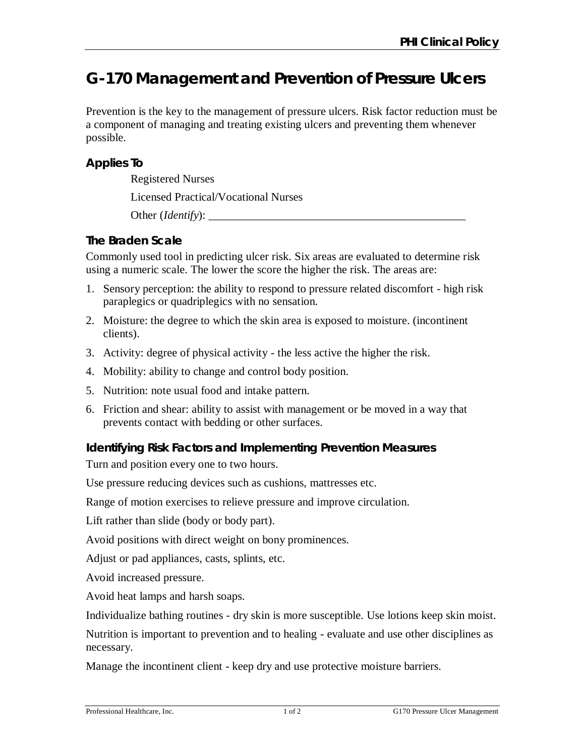# **G-170 Management and Prevention of Pressure Ulcers**

Prevention is the key to the management of pressure ulcers. Risk factor reduction must be a component of managing and treating existing ulcers and preventing them whenever possible.

### **Applies To**

Registered Nurses

Licensed Practical/Vocational Nurses

Other (*Identify*):

# **The Braden Scale**

Commonly used tool in predicting ulcer risk. Six areas are evaluated to determine risk using a numeric scale. The lower the score the higher the risk. The areas are:

- 1. Sensory perception: the ability to respond to pressure related discomfort high risk paraplegics or quadriplegics with no sensation.
- 2. Moisture: the degree to which the skin area is exposed to moisture. (incontinent clients).
- 3. Activity: degree of physical activity the less active the higher the risk.
- 4. Mobility: ability to change and control body position.
- 5. Nutrition: note usual food and intake pattern.
- 6. Friction and shear: ability to assist with management or be moved in a way that prevents contact with bedding or other surfaces.

## **Identifying Risk Factors and Implementing Prevention Measures**

Turn and position every one to two hours.

Use pressure reducing devices such as cushions, mattresses etc.

Range of motion exercises to relieve pressure and improve circulation.

Lift rather than slide (body or body part).

Avoid positions with direct weight on bony prominences.

Adjust or pad appliances, casts, splints, etc.

Avoid increased pressure.

Avoid heat lamps and harsh soaps.

Individualize bathing routines - dry skin is more susceptible. Use lotions keep skin moist.

Nutrition is important to prevention and to healing - evaluate and use other disciplines as necessary.

Manage the incontinent client - keep dry and use protective moisture barriers.